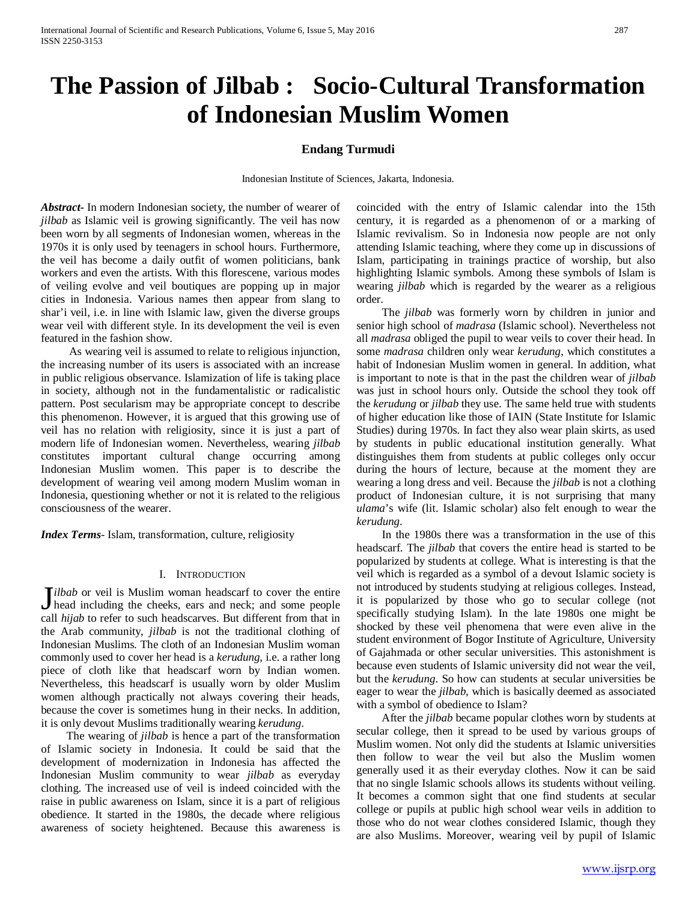# **The Passion of Jilbab : Socio-Cultural Transformation of Indonesian Muslim Women**

### **Endang Turmudi**

Indonesian Institute of Sciences, Jakarta, Indonesia.

*Abstract***-** In modern Indonesian society, the number of wearer of *jilbab* as Islamic veil is growing significantly. The veil has now been worn by all segments of Indonesian women, whereas in the 1970s it is only used by teenagers in school hours. Furthermore, the veil has become a daily outfit of women politicians, bank workers and even the artists. With this florescene, various modes of veiling evolve and veil boutiques are popping up in major cities in Indonesia. Various names then appear from slang to shar'i veil, i.e. in line with Islamic law, given the diverse groups wear veil with different style. In its development the veil is even featured in the fashion show.

 As wearing veil is assumed to relate to religious injunction, the increasing number of its users is associated with an increase in public religious observance. Islamization of life is taking place in society, although not in the fundamentalistic or radicalistic pattern. Post secularism may be appropriate concept to describe this phenomenon. However, it is argued that this growing use of veil has no relation with religiosity, since it is just a part of modern life of Indonesian women. Nevertheless, wearing *jilbab* constitutes important cultural change occurring among Indonesian Muslim women. This paper is to describe the development of wearing veil among modern Muslim woman in Indonesia, questioning whether or not it is related to the religious consciousness of the wearer.

*Index Terms*- Islam, transformation, culture, religiosity

#### I. INTRODUCTION

*ilbab* or veil is Muslim woman headscarf to cover the entire **J**ilbab or veil is Muslim woman headscarf to cover the entire head including the cheeks, ears and neck; and some people  $\mathbb{E}[f(x)]$ call *hijab* to refer to such headscarves. But different from that in the Arab community, *jilbab* is not the traditional clothing of Indonesian Muslims. The cloth of an Indonesian Muslim woman commonly used to cover her head is a *kerudung*, i.e. a rather long piece of cloth like that headscarf worn by Indian women. Nevertheless, this headscarf is usually worn by older Muslim women although practically not always covering their heads, because the cover is sometimes hung in their necks. In addition, it is only devout Muslims traditionally wearing *kerudung*.

 The wearing of *jilbab* is hence a part of the transformation of Islamic society in Indonesia. It could be said that the development of modernization in Indonesia has affected the Indonesian Muslim community to wear *jilbab* as everyday clothing. The increased use of veil is indeed coincided with the raise in public awareness on Islam, since it is a part of religious obedience. It started in the 1980s, the decade where religious awareness of society heightened. Because this awareness is coincided with the entry of Islamic calendar into the 15th century, it is regarded as a phenomenon of or a marking of Islamic revivalism. So in Indonesia now people are not only attending Islamic teaching, where they come up in discussions of Islam, participating in trainings practice of worship, but also highlighting Islamic symbols. Among these symbols of Islam is wearing *jilbab* which is regarded by the wearer as a religious order.

 The *jilbab* was formerly worn by children in junior and senior high school of *madrasa* (Islamic school). Nevertheless not all *madrasa* obliged the pupil to wear veils to cover their head. In some *madrasa* children only wear *kerudung*, which constitutes a habit of Indonesian Muslim women in general. In addition, what is important to note is that in the past the children wear of *jilbab* was just in school hours only. Outside the school they took off the *kerudung* or *jilbab* they use. The same held true with students of higher education like those of IAIN (State Institute for Islamic Studies) during 1970s. In fact they also wear plain skirts, as used by students in public educational institution generally. What distinguishes them from students at public colleges only occur during the hours of lecture, because at the moment they are wearing a long dress and veil. Because the *jilbab* is not a clothing product of Indonesian culture, it is not surprising that many *ulama*'s wife (lit. Islamic scholar) also felt enough to wear the *kerudung*.

 In the 1980s there was a transformation in the use of this headscarf. The *jilbab* that covers the entire head is started to be popularized by students at college. What is interesting is that the veil which is regarded as a symbol of a devout Islamic society is not introduced by students studying at religious colleges. Instead, it is popularized by those who go to secular college (not specifically studying Islam). In the late 1980s one might be shocked by these veil phenomena that were even alive in the student environment of Bogor Institute of Agriculture, University of Gajahmada or other secular universities. This astonishment is because even students of Islamic university did not wear the veil, but the *kerudung*. So how can students at secular universities be eager to wear the *jilbab*, which is basically deemed as associated with a symbol of obedience to Islam?

 After the *jilbab* became popular clothes worn by students at secular college, then it spread to be used by various groups of Muslim women. Not only did the students at Islamic universities then follow to wear the veil but also the Muslim women generally used it as their everyday clothes. Now it can be said that no single Islamic schools allows its students without veiling. It becomes a common sight that one find students at secular college or pupils at public high school wear veils in addition to those who do not wear clothes considered Islamic, though they are also Muslims. Moreover, wearing veil by pupil of Islamic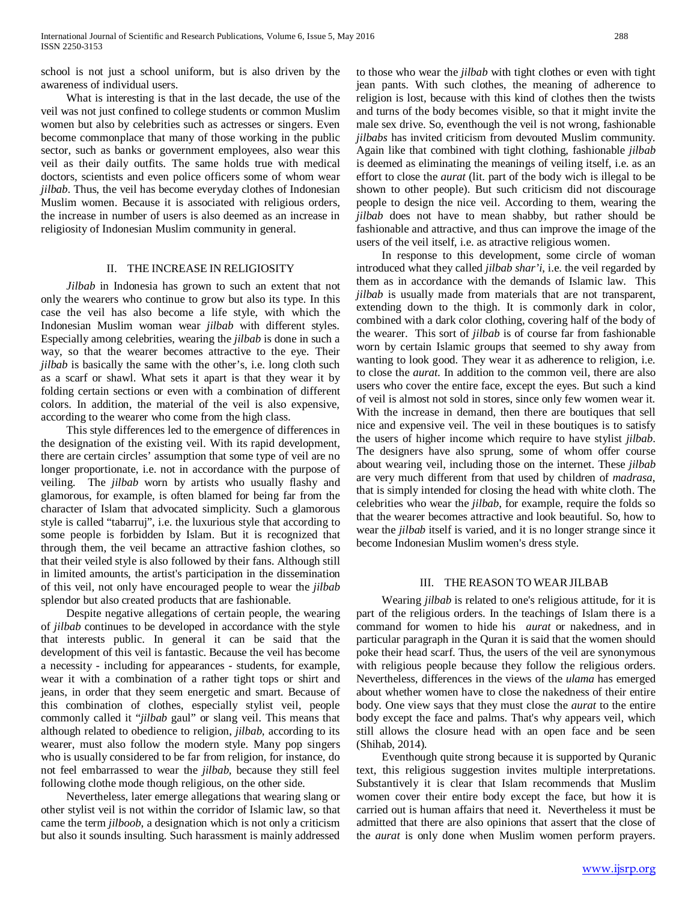school is not just a school uniform, but is also driven by the awareness of individual users.

 What is interesting is that in the last decade, the use of the veil was not just confined to college students or common Muslim women but also by celebrities such as actresses or singers. Even become commonplace that many of those working in the public sector, such as banks or government employees, also wear this veil as their daily outfits. The same holds true with medical doctors, scientists and even police officers some of whom wear *jilbab*. Thus, the veil has become everyday clothes of Indonesian Muslim women. Because it is associated with religious orders, the increase in number of users is also deemed as an increase in religiosity of Indonesian Muslim community in general.

## II. THE INCREASE IN RELIGIOSITY

 *Jilbab* in Indonesia has grown to such an extent that not only the wearers who continue to grow but also its type. In this case the veil has also become a life style, with which the Indonesian Muslim woman wear *jilbab* with different styles. Especially among celebrities, wearing the *jilbab* is done in such a way, so that the wearer becomes attractive to the eye. Their *jilbab* is basically the same with the other's, i.e. long cloth such as a scarf or shawl. What sets it apart is that they wear it by folding certain sections or even with a combination of different colors. In addition, the material of the veil is also expensive, according to the wearer who come from the high class.

 This style differences led to the emergence of differences in the designation of the existing veil. With its rapid development, there are certain circles' assumption that some type of veil are no longer proportionate, i.e. not in accordance with the purpose of veiling. The *jilbab* worn by artists who usually flashy and glamorous, for example, is often blamed for being far from the character of Islam that advocated simplicity. Such a glamorous style is called "tabarruj", i.e. the luxurious style that according to some people is forbidden by Islam. But it is recognized that through them, the veil became an attractive fashion clothes, so that their veiled style is also followed by their fans. Although still in limited amounts, the artist's participation in the dissemination of this veil, not only have encouraged people to wear the *jilbab* splendor but also created products that are fashionable.

 Despite negative allegations of certain people, the wearing of *jilbab* continues to be developed in accordance with the style that interests public. In general it can be said that the development of this veil is fantastic. Because the veil has become a necessity - including for appearances - students, for example, wear it with a combination of a rather tight tops or shirt and jeans, in order that they seem energetic and smart. Because of this combination of clothes, especially stylist veil, people commonly called it "*jilbab* gaul" or slang veil. This means that although related to obedience to religion, *jilbab*, according to its wearer, must also follow the modern style. Many pop singers who is usually considered to be far from religion, for instance, do not feel embarrassed to wear the *jilbab*, because they still feel following clothe mode though religious, on the other side.

 Nevertheless, later emerge allegations that wearing slang or other stylist veil is not within the corridor of Islamic law, so that came the term *jilboob*, a designation which is not only a criticism but also it sounds insulting. Such harassment is mainly addressed

to those who wear the *jilbab* with tight clothes or even with tight jean pants. With such clothes, the meaning of adherence to religion is lost, because with this kind of clothes then the twists and turns of the body becomes visible, so that it might invite the male sex drive. So, eventhough the veil is not wrong, fashionable *jilbabs* has invited criticism from devouted Muslim community. Again like that combined with tight clothing, fashionable *jilbab* is deemed as eliminating the meanings of veiling itself, i.e. as an effort to close the *aurat* (lit. part of the body wich is illegal to be shown to other people). But such criticism did not discourage people to design the nice veil. According to them, wearing the *jilbab* does not have to mean shabby, but rather should be fashionable and attractive, and thus can improve the image of the users of the veil itself, i.e. as atractive religious women.

 In response to this development, some circle of woman introduced what they called *jilbab shar'i*, i.e. the veil regarded by them as in accordance with the demands of Islamic law. This *jilbab* is usually made from materials that are not transparent, extending down to the thigh. It is commonly dark in color, combined with a dark color clothing, covering half of the body of the wearer. This sort of *jilbab* is of course far from fashionable worn by certain Islamic groups that seemed to shy away from wanting to look good. They wear it as adherence to religion, i.e. to close the *aurat*. In addition to the common veil, there are also users who cover the entire face, except the eyes. But such a kind of veil is almost not sold in stores, since only few women wear it. With the increase in demand, then there are boutiques that sell nice and expensive veil. The veil in these boutiques is to satisfy the users of higher income which require to have stylist *jilbab*. The designers have also sprung, some of whom offer course about wearing veil, including those on the internet. These *jilbab* are very much different from that used by children of *madrasa*, that is simply intended for closing the head with white cloth. The celebrities who wear the *jilbab*, for example, require the folds so that the wearer becomes attractive and look beautiful. So, how to wear the *jilbab* itself is varied, and it is no longer strange since it become Indonesian Muslim women's dress style.

### III. THE REASON TO WEAR JILBAB

 Wearing *jilbab* is related to one's religious attitude, for it is part of the religious orders. In the teachings of Islam there is a command for women to hide his *aurat* or nakedness, and in particular paragraph in the Quran it is said that the women should poke their head scarf. Thus, the users of the veil are synonymous with religious people because they follow the religious orders. Nevertheless, differences in the views of the *ulama* has emerged about whether women have to close the nakedness of their entire body. One view says that they must close the *aurat* to the entire body except the face and palms. That's why appears veil, which still allows the closure head with an open face and be seen (Shihab, 2014).

 Eventhough quite strong because it is supported by Quranic text, this religious suggestion invites multiple interpretations. Substantively it is clear that Islam recommends that Muslim women cover their entire body except the face, but how it is carried out is human affairs that need it. Nevertheless it must be admitted that there are also opinions that assert that the close of the *aurat* is only done when Muslim women perform prayers.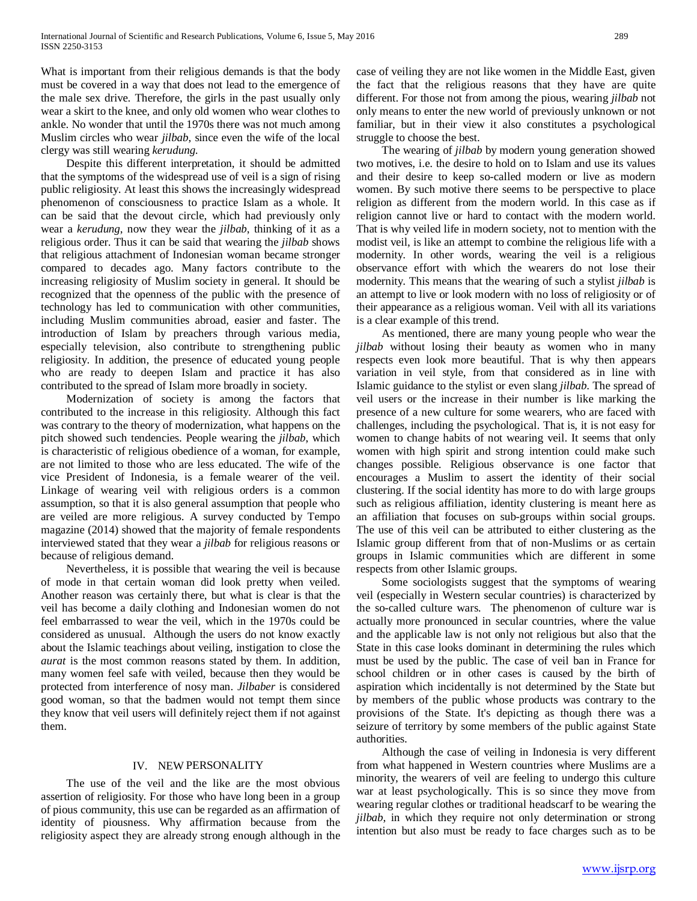What is important from their religious demands is that the body must be covered in a way that does not lead to the emergence of the male sex drive. Therefore, the girls in the past usually only wear a skirt to the knee, and only old women who wear clothes to ankle. No wonder that until the 1970s there was not much among Muslim circles who wear *jilbab*, since even the wife of the local clergy was still wearing *kerudung*.

 Despite this different interpretation, it should be admitted that the symptoms of the widespread use of veil is a sign of rising public religiosity. At least this shows the increasingly widespread phenomenon of consciousness to practice Islam as a whole. It can be said that the devout circle, which had previously only wear a *kerudung*, now they wear the *jilbab*, thinking of it as a religious order. Thus it can be said that wearing the *jilbab* shows that religious attachment of Indonesian woman became stronger compared to decades ago. Many factors contribute to the increasing religiosity of Muslim society in general. It should be recognized that the openness of the public with the presence of technology has led to communication with other communities, including Muslim communities abroad, easier and faster. The introduction of Islam by preachers through various media, especially television, also contribute to strengthening public religiosity. In addition, the presence of educated young people who are ready to deepen Islam and practice it has also contributed to the spread of Islam more broadly in society.

 Modernization of society is among the factors that contributed to the increase in this religiosity. Although this fact was contrary to the theory of modernization, what happens on the pitch showed such tendencies. People wearing the *jilbab*, which is characteristic of religious obedience of a woman, for example, are not limited to those who are less educated. The wife of the vice President of Indonesia, is a female wearer of the veil. Linkage of wearing veil with religious orders is a common assumption, so that it is also general assumption that people who are veiled are more religious. A survey conducted by Tempo magazine (2014) showed that the majority of female respondents interviewed stated that they wear a *jilbab* for religious reasons or because of religious demand.

 Nevertheless, it is possible that wearing the veil is because of mode in that certain woman did look pretty when veiled. Another reason was certainly there, but what is clear is that the veil has become a daily clothing and Indonesian women do not feel embarrassed to wear the veil, which in the 1970s could be considered as unusual. Although the users do not know exactly about the Islamic teachings about veiling, instigation to close the *aurat* is the most common reasons stated by them. In addition, many women feel safe with veiled, because then they would be protected from interference of nosy man. *Jilbaber* is considered good woman, so that the badmen would not tempt them since they know that veil users will definitely reject them if not against them.

### IV. NEW PERSONALITY

 The use of the veil and the like are the most obvious assertion of religiosity. For those who have long been in a group of pious community, this use can be regarded as an affirmation of identity of piousness. Why affirmation because from the religiosity aspect they are already strong enough although in the case of veiling they are not like women in the Middle East, given the fact that the religious reasons that they have are quite different. For those not from among the pious, wearing *jilbab* not only means to enter the new world of previously unknown or not familiar, but in their view it also constitutes a psychological struggle to choose the best.

 The wearing of *jilbab* by modern young generation showed two motives, i.e. the desire to hold on to Islam and use its values and their desire to keep so-called modern or live as modern women. By such motive there seems to be perspective to place religion as different from the modern world. In this case as if religion cannot live or hard to contact with the modern world. That is why veiled life in modern society, not to mention with the modist veil, is like an attempt to combine the religious life with a modernity. In other words, wearing the veil is a religious observance effort with which the wearers do not lose their modernity. This means that the wearing of such a stylist *jilbab* is an attempt to live or look modern with no loss of religiosity or of their appearance as a religious woman. Veil with all its variations is a clear example of this trend.

 As mentioned, there are many young people who wear the *jilbab* without losing their beauty as women who in many respects even look more beautiful. That is why then appears variation in veil style, from that considered as in line with Islamic guidance to the stylist or even slang *jilbab*. The spread of veil users or the increase in their number is like marking the presence of a new culture for some wearers, who are faced with challenges, including the psychological. That is, it is not easy for women to change habits of not wearing veil. It seems that only women with high spirit and strong intention could make such changes possible. Religious observance is one factor that encourages a Muslim to assert the identity of their social clustering. If the social identity has more to do with large groups such as religious affiliation, identity clustering is meant here as an affiliation that focuses on sub-groups within social groups. The use of this veil can be attributed to either clustering as the Islamic group different from that of non-Muslims or as certain groups in Islamic communities which are different in some respects from other Islamic groups.

 Some sociologists suggest that the symptoms of wearing veil (especially in Western secular countries) is characterized by the so-called culture wars. The phenomenon of culture war is actually more pronounced in secular countries, where the value and the applicable law is not only not religious but also that the State in this case looks dominant in determining the rules which must be used by the public. The case of veil ban in France for school children or in other cases is caused by the birth of aspiration which incidentally is not determined by the State but by members of the public whose products was contrary to the provisions of the State. It's depicting as though there was a seizure of territory by some members of the public against State authorities.

 Although the case of veiling in Indonesia is very different from what happened in Western countries where Muslims are a minority, the wearers of veil are feeling to undergo this culture war at least psychologically. This is so since they move from wearing regular clothes or traditional headscarf to be wearing the *jilbab*, in which they require not only determination or strong intention but also must be ready to face charges such as to be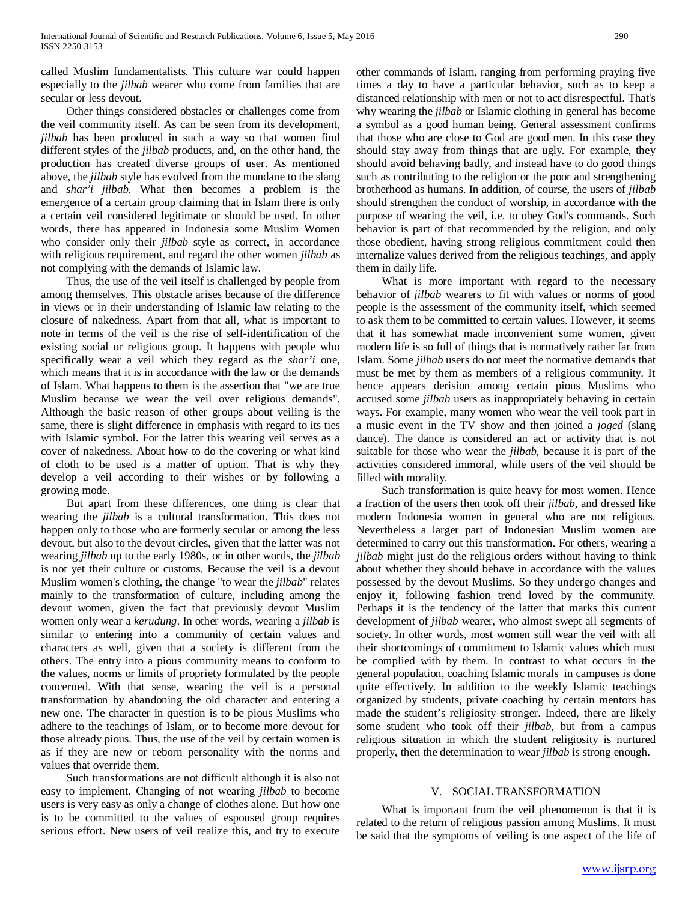called Muslim fundamentalists. This culture war could happen especially to the *jilbab* wearer who come from families that are secular or less devout.

 Other things considered obstacles or challenges come from the veil community itself. As can be seen from its development, *jilbab* has been produced in such a way so that women find different styles of the *jilbab* products, and, on the other hand, the production has created diverse groups of user. As mentioned above, the *jilbab* style has evolved from the mundane to the slang and *shar'i jilbab*. What then becomes a problem is the emergence of a certain group claiming that in Islam there is only a certain veil considered legitimate or should be used. In other words, there has appeared in Indonesia some Muslim Women who consider only their *jilbab* style as correct, in accordance with religious requirement, and regard the other women *jilbab* as not complying with the demands of Islamic law.

 Thus, the use of the veil itself is challenged by people from among themselves. This obstacle arises because of the difference in views or in their understanding of Islamic law relating to the closure of nakedness. Apart from that all, what is important to note in terms of the veil is the rise of self-identification of the existing social or religious group. It happens with people who specifically wear a veil which they regard as the *shar'i* one, which means that it is in accordance with the law or the demands of Islam. What happens to them is the assertion that "we are true Muslim because we wear the veil over religious demands". Although the basic reason of other groups about veiling is the same, there is slight difference in emphasis with regard to its ties with Islamic symbol. For the latter this wearing veil serves as a cover of nakedness. About how to do the covering or what kind of cloth to be used is a matter of option. That is why they develop a veil according to their wishes or by following a growing mode.

 But apart from these differences, one thing is clear that wearing the *jilbab* is a cultural transformation. This does not happen only to those who are formerly secular or among the less devout, but also to the devout circles, given that the latter was not wearing *jilbab* up to the early 1980s, or in other words, the *jilbab* is not yet their culture or customs. Because the veil is a devout Muslim women's clothing, the change "to wear the *jilbab*" relates mainly to the transformation of culture, including among the devout women, given the fact that previously devout Muslim women only wear a *kerudung*. In other words, wearing a *jilbab* is similar to entering into a community of certain values and characters as well, given that a society is different from the others. The entry into a pious community means to conform to the values, norms or limits of propriety formulated by the people concerned. With that sense, wearing the veil is a personal transformation by abandoning the old character and entering a new one. The character in question is to be pious Muslims who adhere to the teachings of Islam, or to become more devout for those already pious. Thus, the use of the veil by certain women is as if they are new or reborn personality with the norms and values that override them.

 Such transformations are not difficult although it is also not easy to implement. Changing of not wearing *jilbab* to become users is very easy as only a change of clothes alone. But how one is to be committed to the values of espoused group requires serious effort. New users of veil realize this, and try to execute other commands of Islam, ranging from performing praying five times a day to have a particular behavior, such as to keep a distanced relationship with men or not to act disrespectful. That's why wearing the *jilbab* or Islamic clothing in general has become a symbol as a good human being. General assessment confirms that those who are close to God are good men. In this case they should stay away from things that are ugly. For example, they should avoid behaving badly, and instead have to do good things such as contributing to the religion or the poor and strengthening brotherhood as humans. In addition, of course, the users of *jilbab* should strengthen the conduct of worship, in accordance with the purpose of wearing the veil, i.e. to obey God's commands. Such behavior is part of that recommended by the religion, and only those obedient, having strong religious commitment could then internalize values derived from the religious teachings, and apply them in daily life.

 What is more important with regard to the necessary behavior of *jilbab* wearers to fit with values or norms of good people is the assessment of the community itself, which seemed to ask them to be committed to certain values. However, it seems that it has somewhat made inconvenient some women, given modern life is so full of things that is normatively rather far from Islam. Some *jilbab* users do not meet the normative demands that must be met by them as members of a religious community. It hence appears derision among certain pious Muslims who accused some *jilbab* users as inappropriately behaving in certain ways. For example, many women who wear the veil took part in a music event in the TV show and then joined a *joged* (slang dance). The dance is considered an act or activity that is not suitable for those who wear the *jilbab*, because it is part of the activities considered immoral, while users of the veil should be filled with morality.

 Such transformation is quite heavy for most women. Hence a fraction of the users then took off their *jilbab*, and dressed like modern Indonesia women in general who are not religious. Nevertheless a larger part of Indonesian Muslim women are determined to carry out this transformation. For others, wearing a *jilbab* might just do the religious orders without having to think about whether they should behave in accordance with the values possessed by the devout Muslims. So they undergo changes and enjoy it, following fashion trend loved by the community. Perhaps it is the tendency of the latter that marks this current development of *jilbab* wearer, who almost swept all segments of society. In other words, most women still wear the veil with all their shortcomings of commitment to Islamic values which must be complied with by them. In contrast to what occurs in the general population, coaching Islamic morals in campuses is done quite effectively. In addition to the weekly Islamic teachings organized by students, private coaching by certain mentors has made the student's religiosity stronger. Indeed, there are likely some student who took off their *jilbab*, but from a campus religious situation in which the student religiosity is nurtured properly, then the determination to wear *jilbab* is strong enough.

### V. SOCIAL TRANSFORMATION

 What is important from the veil phenomenon is that it is related to the return of religious passion among Muslims. It must be said that the symptoms of veiling is one aspect of the life of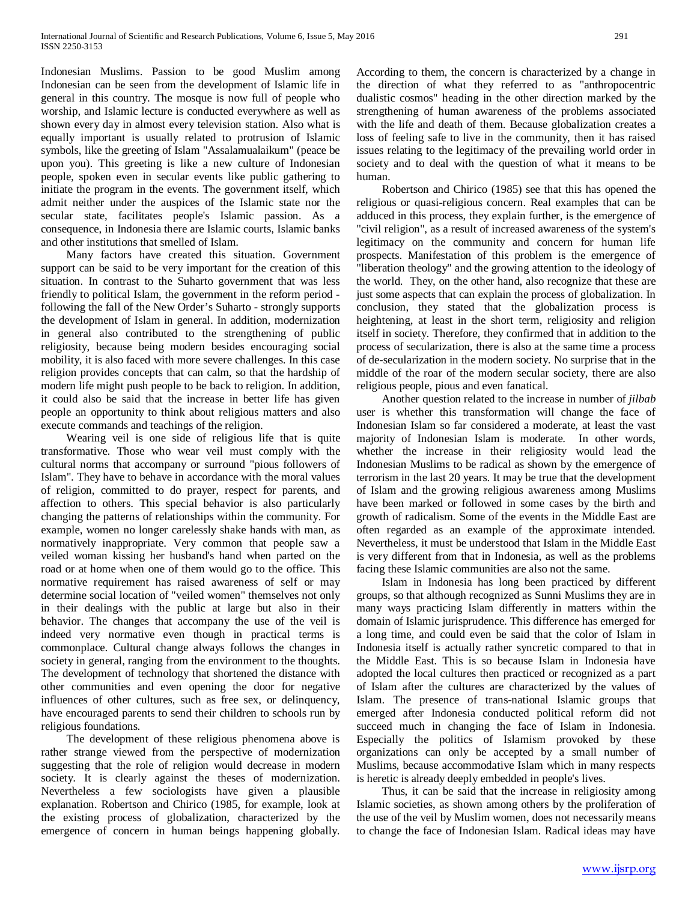Indonesian Muslims. Passion to be good Muslim among Indonesian can be seen from the development of Islamic life in general in this country. The mosque is now full of people who worship, and Islamic lecture is conducted everywhere as well as shown every day in almost every television station. Also what is equally important is usually related to protrusion of Islamic symbols, like the greeting of Islam "Assalamualaikum" (peace be upon you). This greeting is like a new culture of Indonesian people, spoken even in secular events like public gathering to initiate the program in the events. The government itself, which admit neither under the auspices of the Islamic state nor the secular state, facilitates people's Islamic passion. As a consequence, in Indonesia there are Islamic courts, Islamic banks and other institutions that smelled of Islam.

 Many factors have created this situation. Government support can be said to be very important for the creation of this situation. In contrast to the Suharto government that was less friendly to political Islam, the government in the reform period following the fall of the New Order's Suharto - strongly supports the development of Islam in general. In addition, modernization in general also contributed to the strengthening of public religiosity, because being modern besides encouraging social mobility, it is also faced with more severe challenges. In this case religion provides concepts that can calm, so that the hardship of modern life might push people to be back to religion. In addition, it could also be said that the increase in better life has given people an opportunity to think about religious matters and also execute commands and teachings of the religion.

 Wearing veil is one side of religious life that is quite transformative. Those who wear veil must comply with the cultural norms that accompany or surround "pious followers of Islam". They have to behave in accordance with the moral values of religion, committed to do prayer, respect for parents, and affection to others. This special behavior is also particularly changing the patterns of relationships within the community. For example, women no longer carelessly shake hands with man, as normatively inappropriate. Very common that people saw a veiled woman kissing her husband's hand when parted on the road or at home when one of them would go to the office. This normative requirement has raised awareness of self or may determine social location of "veiled women" themselves not only in their dealings with the public at large but also in their behavior. The changes that accompany the use of the veil is indeed very normative even though in practical terms is commonplace. Cultural change always follows the changes in society in general, ranging from the environment to the thoughts. The development of technology that shortened the distance with other communities and even opening the door for negative influences of other cultures, such as free sex, or delinquency, have encouraged parents to send their children to schools run by religious foundations.

 The development of these religious phenomena above is rather strange viewed from the perspective of modernization suggesting that the role of religion would decrease in modern society. It is clearly against the theses of modernization. Nevertheless a few sociologists have given a plausible explanation. Robertson and Chirico (1985, for example, look at the existing process of globalization, characterized by the emergence of concern in human beings happening globally. According to them, the concern is characterized by a change in the direction of what they referred to as "anthropocentric dualistic cosmos" heading in the other direction marked by the strengthening of human awareness of the problems associated with the life and death of them. Because globalization creates a loss of feeling safe to live in the community, then it has raised issues relating to the legitimacy of the prevailing world order in society and to deal with the question of what it means to be human.

 Robertson and Chirico (1985) see that this has opened the religious or quasi-religious concern. Real examples that can be adduced in this process, they explain further, is the emergence of "civil religion", as a result of increased awareness of the system's legitimacy on the community and concern for human life prospects. Manifestation of this problem is the emergence of "liberation theology" and the growing attention to the ideology of the world. They, on the other hand, also recognize that these are just some aspects that can explain the process of globalization. In conclusion, they stated that the globalization process is heightening, at least in the short term, religiosity and religion itself in society. Therefore, they confirmed that in addition to the process of secularization, there is also at the same time a process of de-secularization in the modern society. No surprise that in the middle of the roar of the modern secular society, there are also religious people, pious and even fanatical.

 Another question related to the increase in number of *jilbab* user is whether this transformation will change the face of Indonesian Islam so far considered a moderate, at least the vast majority of Indonesian Islam is moderate. In other words, whether the increase in their religiosity would lead the Indonesian Muslims to be radical as shown by the emergence of terrorism in the last 20 years. It may be true that the development of Islam and the growing religious awareness among Muslims have been marked or followed in some cases by the birth and growth of radicalism. Some of the events in the Middle East are often regarded as an example of the approximate intended. Nevertheless, it must be understood that Islam in the Middle East is very different from that in Indonesia, as well as the problems facing these Islamic communities are also not the same.

 Islam in Indonesia has long been practiced by different groups, so that although recognized as Sunni Muslims they are in many ways practicing Islam differently in matters within the domain of Islamic jurisprudence. This difference has emerged for a long time, and could even be said that the color of Islam in Indonesia itself is actually rather syncretic compared to that in the Middle East. This is so because Islam in Indonesia have adopted the local cultures then practiced or recognized as a part of Islam after the cultures are characterized by the values of Islam. The presence of trans-national Islamic groups that emerged after Indonesia conducted political reform did not succeed much in changing the face of Islam in Indonesia. Especially the politics of Islamism provoked by these organizations can only be accepted by a small number of Muslims, because accommodative Islam which in many respects is heretic is already deeply embedded in people's lives.

 Thus, it can be said that the increase in religiosity among Islamic societies, as shown among others by the proliferation of the use of the veil by Muslim women, does not necessarily means to change the face of Indonesian Islam. Radical ideas may have